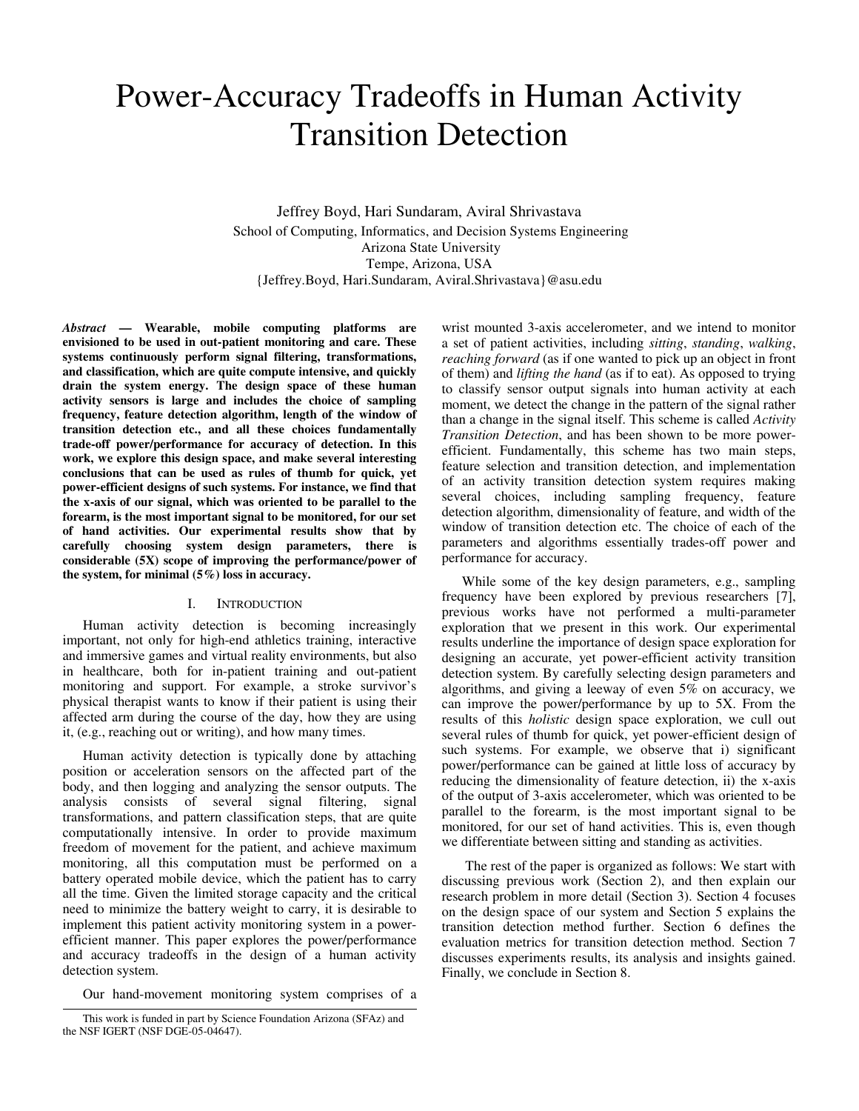# Power-Accuracy Tradeoffs in Human Activity Transition Detection

Jeffrey Boyd, Hari Sundaram, Aviral Shrivastava School of Computing, Informatics, and Decision Systems Engineering Arizona State University Tempe, Arizona, USA {Jeffrey.Boyd, Hari.Sundaram, Aviral.Shrivastava}@asu.edu

*Abstract* **— Wearable, mobile computing platforms are envisioned to be used in out-patient monitoring and care. These systems continuously perform signal filtering, transformations, and classification, which are quite compute intensive, and quickly drain the system energy. The design space of these human activity sensors is large and includes the choice of sampling frequency, feature detection algorithm, length of the window of transition detection etc., and all these choices fundamentally trade-off power/performance for accuracy of detection. In this work, we explore this design space, and make several interesting conclusions that can be used as rules of thumb for quick, yet power-efficient designs of such systems. For instance, we find that the x-axis of our signal, which was oriented to be parallel to the forearm, is the most important signal to be monitored, for our set of hand activities. Our experimental results show that by carefully choosing system design parameters, there is considerable (5X) scope of improving the performance/power of the system, for minimal (5%) loss in accuracy.** 

# I. INTRODUCTION

Human activity detection is becoming increasingly important, not only for high-end athletics training, interactive and immersive games and virtual reality environments, but also in healthcare, both for in-patient training and out-patient monitoring and support. For example, a stroke survivor's physical therapist wants to know if their patient is using their affected arm during the course of the day, how they are using it, (e.g., reaching out or writing), and how many times.

Human activity detection is typically done by attaching position or acceleration sensors on the affected part of the body, and then logging and analyzing the sensor outputs. The analysis consists of several signal filtering, signal transformations, and pattern classification steps, that are quite computationally intensive. In order to provide maximum freedom of movement for the patient, and achieve maximum monitoring, all this computation must be performed on a battery operated mobile device, which the patient has to carry all the time. Given the limited storage capacity and the critical need to minimize the battery weight to carry, it is desirable to implement this patient activity monitoring system in a powerefficient manner. This paper explores the power/performance and accuracy tradeoffs in the design of a human activity detection system.

Our hand-movement monitoring system comprises of a

wrist mounted 3-axis accelerometer, and we intend to monitor a set of patient activities, including *sitting*, *standing*, *walking*, *reaching forward* (as if one wanted to pick up an object in front of them) and *lifting the hand* (as if to eat). As opposed to trying to classify sensor output signals into human activity at each moment, we detect the change in the pattern of the signal rather than a change in the signal itself. This scheme is called *Activity Transition Detection*, and has been shown to be more powerefficient. Fundamentally, this scheme has two main steps, feature selection and transition detection, and implementation of an activity transition detection system requires making several choices, including sampling frequency, feature detection algorithm, dimensionality of feature, and width of the window of transition detection etc. The choice of each of the parameters and algorithms essentially trades-off power and performance for accuracy.

While some of the key design parameters, e.g., sampling frequency have been explored by previous researchers [7], previous works have not performed a multi-parameter exploration that we present in this work. Our experimental results underline the importance of design space exploration for designing an accurate, yet power-efficient activity transition detection system. By carefully selecting design parameters and algorithms, and giving a leeway of even 5% on accuracy, we can improve the power/performance by up to 5X. From the results of this *holistic* design space exploration, we cull out several rules of thumb for quick, yet power-efficient design of such systems. For example, we observe that i) significant power/performance can be gained at little loss of accuracy by reducing the dimensionality of feature detection, ii) the x-axis of the output of 3-axis accelerometer, which was oriented to be parallel to the forearm, is the most important signal to be monitored, for our set of hand activities. This is, even though we differentiate between sitting and standing as activities.

 The rest of the paper is organized as follows: We start with discussing previous work (Section 2), and then explain our research problem in more detail (Section 3). Section 4 focuses on the design space of our system and Section 5 explains the transition detection method further. Section 6 defines the evaluation metrics for transition detection method. Section 7 discusses experiments results, its analysis and insights gained. Finally, we conclude in Section 8.

This work is funded in part by Science Foundation Arizona (SFAz) and the NSF IGERT (NSF DGE-05-04647).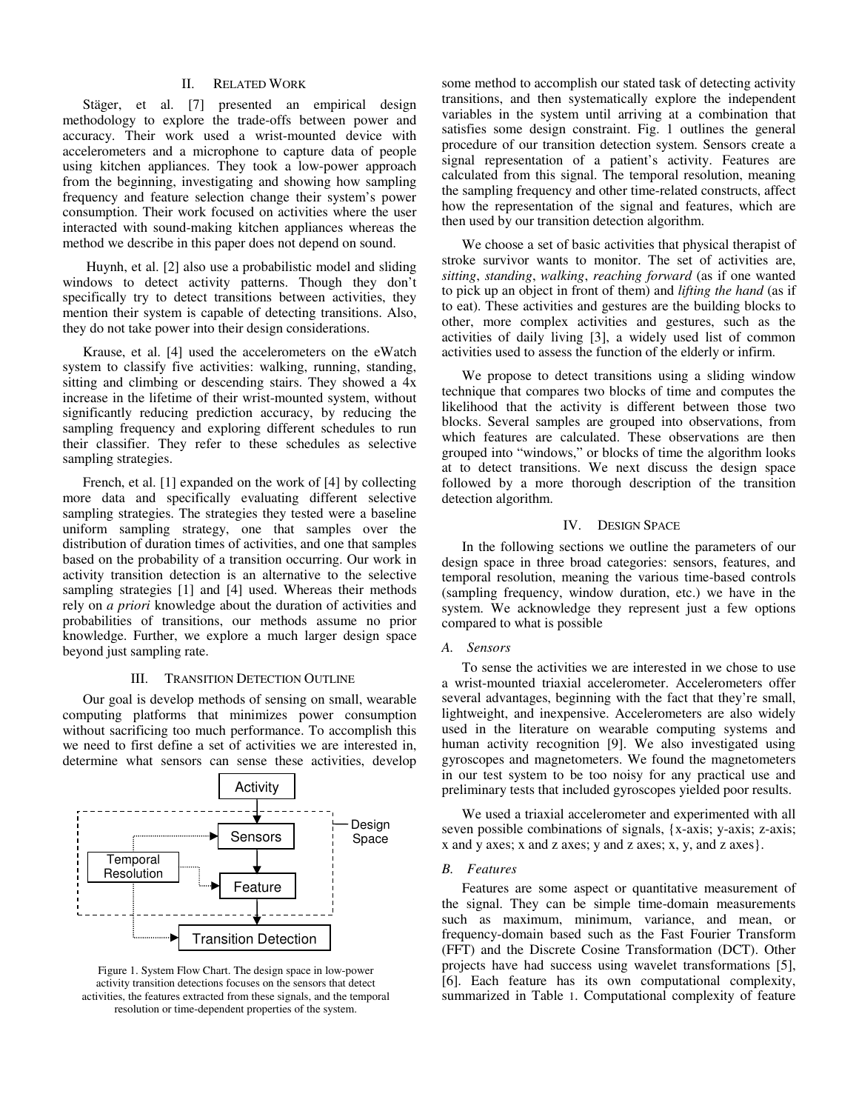## II. RELATED WORK

Stäger, et al. [7] presented an empirical design methodology to explore the trade-offs between power and accuracy. Their work used a wrist-mounted device with accelerometers and a microphone to capture data of people using kitchen appliances. They took a low-power approach from the beginning, investigating and showing how sampling frequency and feature selection change their system's power consumption. Their work focused on activities where the user interacted with sound-making kitchen appliances whereas the method we describe in this paper does not depend on sound.

 Huynh, et al. [2] also use a probabilistic model and sliding windows to detect activity patterns. Though they don't specifically try to detect transitions between activities, they mention their system is capable of detecting transitions. Also, they do not take power into their design considerations.

Krause, et al. [4] used the accelerometers on the eWatch system to classify five activities: walking, running, standing, sitting and climbing or descending stairs. They showed a 4x increase in the lifetime of their wrist-mounted system, without significantly reducing prediction accuracy, by reducing the sampling frequency and exploring different schedules to run their classifier. They refer to these schedules as selective sampling strategies.

French, et al. [1] expanded on the work of [4] by collecting more data and specifically evaluating different selective sampling strategies. The strategies they tested were a baseline uniform sampling strategy, one that samples over the distribution of duration times of activities, and one that samples based on the probability of a transition occurring. Our work in activity transition detection is an alternative to the selective sampling strategies [1] and [4] used. Whereas their methods rely on *a priori* knowledge about the duration of activities and probabilities of transitions, our methods assume no prior knowledge. Further, we explore a much larger design space beyond just sampling rate.

# III. TRANSITION DETECTION OUTLINE

Our goal is develop methods of sensing on small, wearable computing platforms that minimizes power consumption without sacrificing too much performance. To accomplish this we need to first define a set of activities we are interested in, determine what sensors can sense these activities, develop



Figure 1. System Flow Chart. The design space in low-power activity transition detections focuses on the sensors that detect activities, the features extracted from these signals, and the temporal resolution or time-dependent properties of the system.

some method to accomplish our stated task of detecting activity transitions, and then systematically explore the independent variables in the system until arriving at a combination that satisfies some design constraint. Fig. 1 outlines the general procedure of our transition detection system. Sensors create a signal representation of a patient's activity. Features are calculated from this signal. The temporal resolution, meaning the sampling frequency and other time-related constructs, affect how the representation of the signal and features, which are then used by our transition detection algorithm.

We choose a set of basic activities that physical therapist of stroke survivor wants to monitor. The set of activities are, *sitting*, *standing*, *walking*, *reaching forward* (as if one wanted to pick up an object in front of them) and *lifting the hand* (as if to eat). These activities and gestures are the building blocks to other, more complex activities and gestures, such as the activities of daily living [3], a widely used list of common activities used to assess the function of the elderly or infirm.

We propose to detect transitions using a sliding window technique that compares two blocks of time and computes the likelihood that the activity is different between those two blocks. Several samples are grouped into observations, from which features are calculated. These observations are then grouped into "windows," or blocks of time the algorithm looks at to detect transitions. We next discuss the design space followed by a more thorough description of the transition detection algorithm.

## IV. DESIGN SPACE

In the following sections we outline the parameters of our design space in three broad categories: sensors, features, and temporal resolution, meaning the various time-based controls (sampling frequency, window duration, etc.) we have in the system. We acknowledge they represent just a few options compared to what is possible

# *A. Sensors*

To sense the activities we are interested in we chose to use a wrist-mounted triaxial accelerometer. Accelerometers offer several advantages, beginning with the fact that they're small, lightweight, and inexpensive. Accelerometers are also widely used in the literature on wearable computing systems and human activity recognition [9]. We also investigated using gyroscopes and magnetometers. We found the magnetometers in our test system to be too noisy for any practical use and preliminary tests that included gyroscopes yielded poor results.

We used a triaxial accelerometer and experimented with all seven possible combinations of signals, {x-axis; y-axis; z-axis; x and y axes; x and z axes; y and z axes; x, y, and z axes}.

### *B. Features*

Features are some aspect or quantitative measurement of the signal. They can be simple time-domain measurements such as maximum, minimum, variance, and mean, or frequency-domain based such as the Fast Fourier Transform (FFT) and the Discrete Cosine Transformation (DCT). Other projects have had success using wavelet transformations [5], [6]. Each feature has its own computational complexity, summarized in Table 1. Computational complexity of feature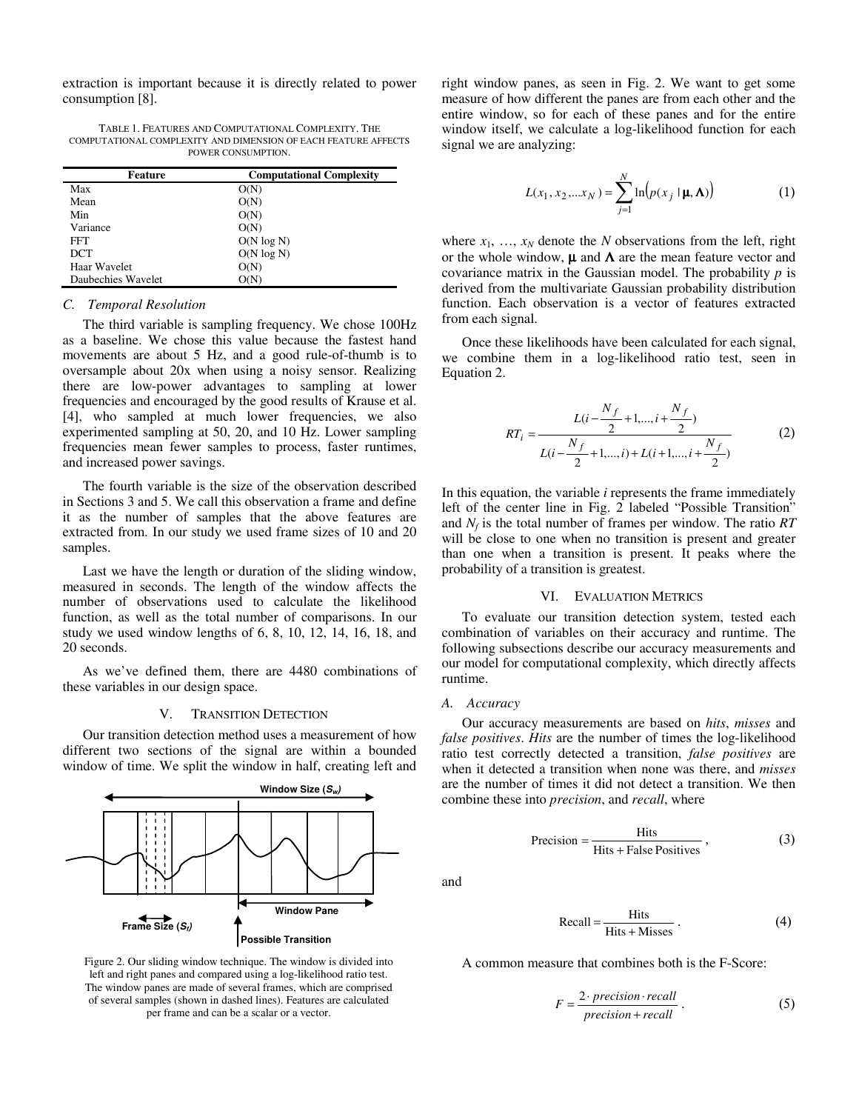extraction is important because it is directly related to power consumption [8].

TABLE 1. FEATURES AND COMPUTATIONAL COMPLEXITY. THE COMPUTATIONAL COMPLEXITY AND DIMENSION OF EACH FEATURE AFFECTS POWER CONSUMPTION.

| <b>Feature</b>     | <b>Computational Complexity</b> |  |  |
|--------------------|---------------------------------|--|--|
| Max                | O(N)                            |  |  |
| Mean               | O(N)                            |  |  |
| Min                | O(N)                            |  |  |
| Variance           | O(N)                            |  |  |
| FFT                | $O(N \log N)$                   |  |  |
| <b>DCT</b>         | $O(N \log N)$                   |  |  |
| Haar Wavelet       | O(N)                            |  |  |
| Daubechies Wavelet |                                 |  |  |

## *C. Temporal Resolution*

The third variable is sampling frequency. We chose 100Hz as a baseline. We chose this value because the fastest hand movements are about 5 Hz, and a good rule-of-thumb is to oversample about 20x when using a noisy sensor. Realizing there are low-power advantages to sampling at lower frequencies and encouraged by the good results of Krause et al. [4], who sampled at much lower frequencies, we also experimented sampling at 50, 20, and 10 Hz. Lower sampling frequencies mean fewer samples to process, faster runtimes, and increased power savings.

The fourth variable is the size of the observation described in Sections 3 and 5. We call this observation a frame and define it as the number of samples that the above features are extracted from. In our study we used frame sizes of 10 and 20 samples.

Last we have the length or duration of the sliding window, measured in seconds. The length of the window affects the number of observations used to calculate the likelihood function, as well as the total number of comparisons. In our study we used window lengths of 6, 8, 10, 12, 14, 16, 18, and 20 seconds.

As we've defined them, there are 4480 combinations of these variables in our design space.

#### V. TRANSITION DETECTION

Our transition detection method uses a measurement of how different two sections of the signal are within a bounded window of time. We split the window in half, creating left and



Figure 2. Our sliding window technique. The window is divided into left and right panes and compared using a log-likelihood ratio test. The window panes are made of several frames, which are comprised of several samples (shown in dashed lines). Features are calculated per frame and can be a scalar or a vector.

right window panes, as seen in Fig. 2. We want to get some measure of how different the panes are from each other and the entire window, so for each of these panes and for the entire window itself, we calculate a log-likelihood function for each signal we are analyzing:

$$
L(x_1, x_2,...x_N) = \sum_{j=1}^{N} \ln(p(x_j \mid \mathbf{\mu}, \mathbf{\Lambda}))
$$
 (1)

where  $x_1, \ldots, x_N$  denote the *N* observations from the left, right or the whole window,  $\mu$  and  $\Lambda$  are the mean feature vector and covariance matrix in the Gaussian model. The probability *p* is derived from the multivariate Gaussian probability distribution function. Each observation is a vector of features extracted from each signal.

Once these likelihoods have been calculated for each signal, we combine them in a log-likelihood ratio test, seen in Equation 2.

$$
RT_i = \frac{L(i - \frac{N_f}{2} + 1, \dots, i + \frac{N_f}{2})}{L(i - \frac{N_f}{2} + 1, \dots, i) + L(i + 1, \dots, i + \frac{N_f}{2})}
$$
(2)

In this equation, the variable *i* represents the frame immediately left of the center line in Fig. 2 labeled "Possible Transition" and *N<sup>f</sup>* is the total number of frames per window. The ratio *RT*  will be close to one when no transition is present and greater than one when a transition is present. It peaks where the probability of a transition is greatest.

## VI. EVALUATION METRICS

To evaluate our transition detection system, tested each combination of variables on their accuracy and runtime. The following subsections describe our accuracy measurements and our model for computational complexity, which directly affects runtime.

## *A. Accuracy*

Our accuracy measurements are based on *hits*, *misses* and *false positives*. *Hits* are the number of times the log-likelihood ratio test correctly detected a transition, *false positives* are when it detected a transition when none was there, and *misses* are the number of times it did not detect a transition. We then combine these into *precision*, and *recall*, where

$$
Precision = \frac{Hist}{Hist + False Positives},
$$
 (3)

and

$$
Recall = \frac{Hist}{Hist + Misses} \,. \tag{4}
$$

A common measure that combines both is the F-Score:

$$
F = \frac{2 \cdot precision \cdot recall}{precision + recall} \ . \tag{5}
$$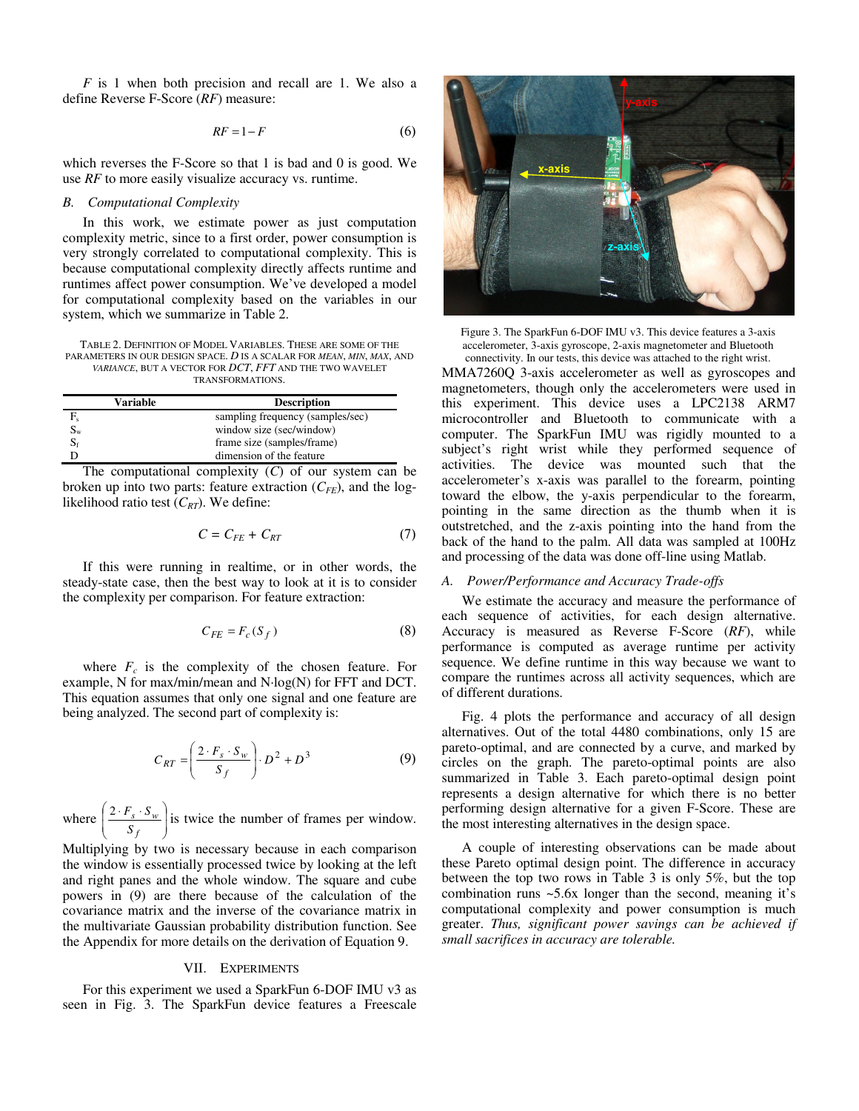*F* is 1 when both precision and recall are 1. We also a define Reverse F-Score (*RF*) measure:

$$
RF = 1 - F \tag{6}
$$

which reverses the F-Score so that 1 is bad and 0 is good. We use *RF* to more easily visualize accuracy vs. runtime.

### *B. Computational Complexity*

In this work, we estimate power as just computation complexity metric, since to a first order, power consumption is very strongly correlated to computational complexity. This is because computational complexity directly affects runtime and runtimes affect power consumption. We've developed a model for computational complexity based on the variables in our system, which we summarize in Table 2.

TABLE 2. DEFINITION OF MODEL VARIABLES. THESE ARE SOME OF THE PARAMETERS IN OUR DESIGN SPACE. *D* IS A SCALAR FOR *MEAN*, *MIN*, *MAX*, AND *VARIANCE*, BUT A VECTOR FOR *DCT*, *FFT* AND THE TWO WAVELET TRANSFORMATIONS.

|                           | Variable | <b>Description</b>               |  |  |  |
|---------------------------|----------|----------------------------------|--|--|--|
| F.                        |          | sampling frequency (samples/sec) |  |  |  |
| $\mathrm{S}_{\mathrm{w}}$ |          | window size (sec/window)         |  |  |  |
|                           |          | frame size (samples/frame)       |  |  |  |
|                           |          | dimension of the feature         |  |  |  |

The computational complexity (*C*) of our system can be broken up into two parts: feature extraction  $(C_{FE})$ , and the loglikelihood ratio test  $(C_{RT})$ . We define:

$$
C = C_{FE} + C_{RT} \tag{7}
$$

If this were running in realtime, or in other words, the steady-state case, then the best way to look at it is to consider the complexity per comparison. For feature extraction:

$$
C_{FE} = F_c(S_f)
$$
 (8)

where  $F_c$  is the complexity of the chosen feature. For example, N for max/min/mean and N·log(N) for FFT and DCT. This equation assumes that only one signal and one feature are being analyzed. The second part of complexity is:

$$
C_{RT} = \left(\frac{2 \cdot F_s \cdot S_w}{S_f}\right) \cdot D^2 + D^3 \tag{9}
$$

where  $\left| \frac{2 \cdot F_s \cdot S_w}{S_c} \right|$ J ℩  $\overline{\phantom{a}}$ l  $\left( 2\cdot F_{s}\right)$ . *f s w S*  $\frac{2 \cdot F_s \cdot S_w}{S}$  is twice the number of frames per window.

Multiplying by two is necessary because in each comparison the window is essentially processed twice by looking at the left and right panes and the whole window. The square and cube powers in (9) are there because of the calculation of the covariance matrix and the inverse of the covariance matrix in the multivariate Gaussian probability distribution function. See the Appendix for more details on the derivation of Equation 9.

#### VII. EXPERIMENTS

For this experiment we used a SparkFun 6-DOF IMU v3 as seen in Fig. 3. The SparkFun device features a Freescale



MMA7260Q 3-axis accelerometer as well as gyroscopes and magnetometers, though only the accelerometers were used in this experiment. This device uses a LPC2138 ARM7 microcontroller and Bluetooth to communicate with a computer. The SparkFun IMU was rigidly mounted to a subject's right wrist while they performed sequence of activities. The device was mounted such that the accelerometer's x-axis was parallel to the forearm, pointing toward the elbow, the y-axis perpendicular to the forearm, pointing in the same direction as the thumb when it is outstretched, and the z-axis pointing into the hand from the back of the hand to the palm. All data was sampled at 100Hz and processing of the data was done off-line using Matlab. Figure 3. The SparkFun 6-DOF IMU v3. This device features a 3-axis accelerometer, 3-axis gyroscope, 2-axis magnetometer and Bluetooth connectivity. In our tests, this device was attached to the right wrist.

# *A. Power/Performance and Accuracy Trade-offs*

We estimate the accuracy and measure the performance of each sequence of activities, for each design alternative. Accuracy is measured as Reverse F-Score (*RF*), while performance is computed as average runtime per activity sequence. We define runtime in this way because we want to compare the runtimes across all activity sequences, which are of different durations.

Fig. 4 plots the performance and accuracy of all design alternatives. Out of the total 4480 combinations, only 15 are pareto-optimal, and are connected by a curve, and marked by circles on the graph. The pareto-optimal points are also summarized in Table 3. Each pareto-optimal design point represents a design alternative for which there is no better performing design alternative for a given F-Score. These are the most interesting alternatives in the design space.

A couple of interesting observations can be made about these Pareto optimal design point. The difference in accuracy between the top two rows in Table 3 is only 5%, but the top combination runs ~5.6x longer than the second, meaning it's computational complexity and power consumption is much greater. *Thus, significant power savings can be achieved if small sacrifices in accuracy are tolerable.*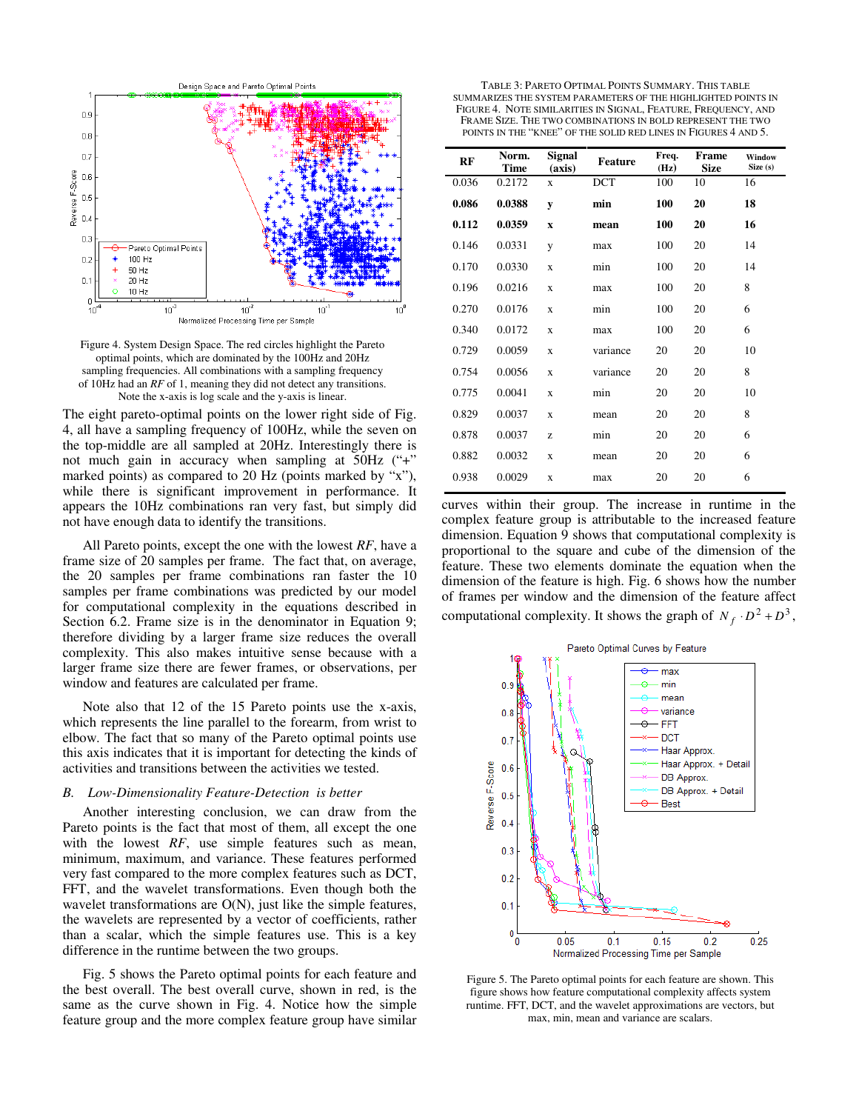

Figure 4. System Design Space. The red circles highlight the Pareto optimal points, which are dominated by the 100Hz and 20Hz sampling frequencies. All combinations with a sampling frequency of 10Hz had an *RF* of 1, meaning they did not detect any transitions. Note the x-axis is log scale and the y-axis is linear.

The eight pareto-optimal points on the lower right side of Fig. 4, all have a sampling frequency of 100Hz, while the seven on the top-middle are all sampled at 20Hz. Interestingly there is not much gain in accuracy when sampling at 50Hz ("+" marked points) as compared to 20 Hz (points marked by "x"), while there is significant improvement in performance. It appears the 10Hz combinations ran very fast, but simply did not have enough data to identify the transitions.

All Pareto points, except the one with the lowest *RF*, have a frame size of 20 samples per frame. The fact that, on average, the 20 samples per frame combinations ran faster the 10 samples per frame combinations was predicted by our model for computational complexity in the equations described in Section 6.2. Frame size is in the denominator in Equation 9; therefore dividing by a larger frame size reduces the overall complexity. This also makes intuitive sense because with a larger frame size there are fewer frames, or observations, per window and features are calculated per frame.

Note also that 12 of the 15 Pareto points use the x-axis, which represents the line parallel to the forearm, from wrist to elbow. The fact that so many of the Pareto optimal points use this axis indicates that it is important for detecting the kinds of activities and transitions between the activities we tested.

## *B. Low-Dimensionality Feature-Detection is better*

Another interesting conclusion, we can draw from the Pareto points is the fact that most of them, all except the one with the lowest *RF*, use simple features such as mean, minimum, maximum, and variance. These features performed very fast compared to the more complex features such as DCT, FFT, and the wavelet transformations. Even though both the wavelet transformations are O(N), just like the simple features, the wavelets are represented by a vector of coefficients, rather than a scalar, which the simple features use. This is a key difference in the runtime between the two groups.

Fig. 5 shows the Pareto optimal points for each feature and the best overall. The best overall curve, shown in red, is the same as the curve shown in Fig. 4. Notice how the simple feature group and the more complex feature group have similar

| TABLE 3: PARETO OPTIMAL POINTS SUMMARY. THIS TABLE              |
|-----------------------------------------------------------------|
| SUMMARIZES THE SYSTEM PARAMETERS OF THE HIGHLIGHTED POINTS IN   |
| FIGURE 4. NOTE SIMILARITIES IN SIGNAL, FEATURE, FREQUENCY, AND  |
| FRAME SIZE. THE TWO COMBINATIONS IN BOLD REPRESENT THE TWO      |
| POINTS IN THE "KNEE" OF THE SOLID RED LINES IN FIGURES 4 AND 5. |

| RF    | Norm.<br><b>Time</b> | Signal<br>(axis) | Feature    | Freq.<br>(Hz) | <b>Frame</b><br><b>Size</b> | Window<br>Size (s) |
|-------|----------------------|------------------|------------|---------------|-----------------------------|--------------------|
| 0.036 | 0.2172               | $\mathbf{x}$     | <b>DCT</b> | 100           | 10                          | 16                 |
| 0.086 | 0.0388               | y                | min        | 100           | 20                          | 18                 |
| 0.112 | 0.0359               | $\mathbf x$      | mean       | 100           | 20                          | 16                 |
| 0.146 | 0.0331               | y                | max        | 100           | 20                          | 14                 |
| 0.170 | 0.0330               | X                | min        | 100           | 20                          | 14                 |
| 0.196 | 0.0216               | X                | max        | 100           | 20                          | 8                  |
| 0.270 | 0.0176               | $\mathbf{x}$     | min        | 100           | 20                          | 6                  |
| 0.340 | 0.0172               | $\mathbf{x}$     | max        | 100           | 20                          | 6                  |
| 0.729 | 0.0059               | X                | variance   | 20            | 20                          | 10                 |
| 0.754 | 0.0056               | X                | variance   | 20            | 20                          | 8                  |
| 0.775 | 0.0041               | $\mathbf{x}$     | min        | 20            | 20                          | 10                 |
| 0.829 | 0.0037               | X                | mean       | 20            | 20                          | 8                  |
| 0.878 | 0.0037               | z                | min        | 20            | 20                          | 6                  |
| 0.882 | 0.0032               | X                | mean       | 20            | 20                          | 6                  |
| 0.938 | 0.0029               | X                | max        | 20            | 20                          | 6                  |

curves within their group. The increase in runtime in the complex feature group is attributable to the increased feature dimension. Equation 9 shows that computational complexity is proportional to the square and cube of the dimension of the feature. These two elements dominate the equation when the dimension of the feature is high. Fig. 6 shows how the number of frames per window and the dimension of the feature affect computational complexity. It shows the graph of  $N_f \cdot D^2 + D^3$ ,



Figure 5. The Pareto optimal points for each feature are shown. This figure shows how feature computational complexity affects system runtime. FFT, DCT, and the wavelet approximations are vectors, but max, min, mean and variance are scalars.